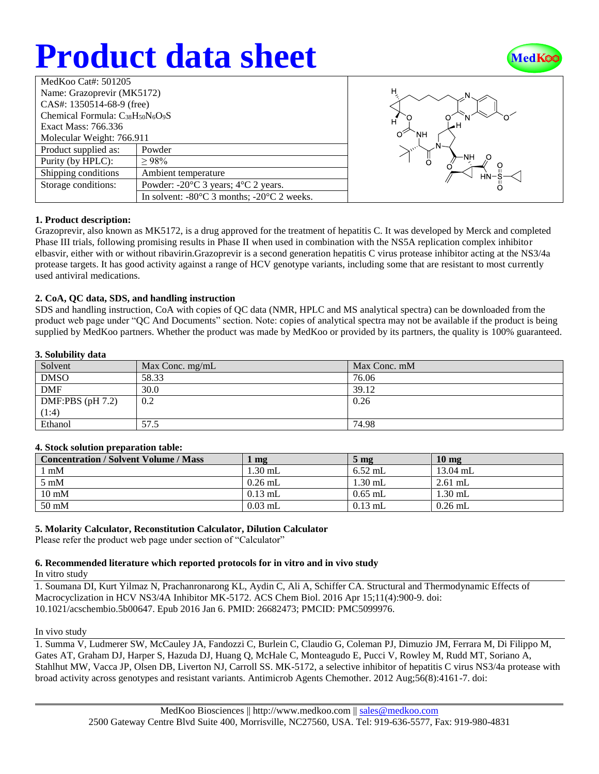# **Product data sheet**



| MedKoo Cat#: 501205                                                               |                                                                |  |  |  |
|-----------------------------------------------------------------------------------|----------------------------------------------------------------|--|--|--|
| Name: Grazoprevir (MK5172)                                                        |                                                                |  |  |  |
| CAS#: 1350514-68-9 (free)                                                         |                                                                |  |  |  |
| Chemical Formula: C <sub>38</sub> H <sub>50</sub> N <sub>6</sub> O <sub>9</sub> S |                                                                |  |  |  |
| Exact Mass: 766.336                                                               |                                                                |  |  |  |
| Molecular Weight: 766.911                                                         |                                                                |  |  |  |
| Product supplied as:                                                              | Powder                                                         |  |  |  |
| Purity (by HPLC):                                                                 | $\geq 98\%$                                                    |  |  |  |
| Shipping conditions                                                               | Ambient temperature                                            |  |  |  |
| Storage conditions:                                                               | Powder: $-20^{\circ}$ C 3 years; $4^{\circ}$ C 2 years.        |  |  |  |
|                                                                                   | In solvent: $-80^{\circ}$ C 3 months; $-20^{\circ}$ C 2 weeks. |  |  |  |



#### **1. Product description:**

Grazoprevir, also known as MK5172, is a drug approved for the treatment of hepatitis C. It was developed by Merck and completed Phase III trials, following promising results in Phase II when used in combination with the NS5A replication complex inhibitor elbasvir, either with or without ribavirin.Grazoprevir is a second generation hepatitis C virus protease inhibitor acting at the NS3/4a protease targets. It has good activity against a range of HCV genotype variants, including some that are resistant to most currently used antiviral medications.

#### **2. CoA, QC data, SDS, and handling instruction**

SDS and handling instruction, CoA with copies of QC data (NMR, HPLC and MS analytical spectra) can be downloaded from the product web page under "QC And Documents" section. Note: copies of analytical spectra may not be available if the product is being supplied by MedKoo partners. Whether the product was made by MedKoo or provided by its partners, the quality is 100% guaranteed.

#### **3. Solubility data**

| Solvent            | Max Conc. $mg/mL$ | Max Conc. mM |
|--------------------|-------------------|--------------|
| <b>DMSO</b>        | 58.33             | 76.06        |
| <b>DMF</b>         | 30.0              | 39.12        |
| DMF:PBS $(pH 7.2)$ | 0.2               | 0.26         |
| (1:4)              |                   |              |
| Ethanol            | 57.5              | 74.98        |

#### **4. Stock solution preparation table:**

| <b>Concentration / Solvent Volume / Mass</b> | mg        | $5 \text{ mg}$ | $10 \text{ mg}$ |
|----------------------------------------------|-----------|----------------|-----------------|
| mM                                           | 1.30 mL   | $6.52$ mL      | $13.04$ mL      |
| $5 \text{ mM}$                               | $0.26$ mL | $1.30$ mL      | $2.61$ mL       |
| $10 \text{ mM}$                              | $0.13$ mL | $0.65$ mL      | $1.30$ mL       |
| $50 \text{ mM}$                              | $0.03$ mL | $0.13$ mL      | $0.26$ mL       |

## **5. Molarity Calculator, Reconstitution Calculator, Dilution Calculator**

Please refer the product web page under section of "Calculator"

#### **6. Recommended literature which reported protocols for in vitro and in vivo study**

In vitro study

1. Soumana DI, Kurt Yilmaz N, Prachanronarong KL, Aydin C, Ali A, Schiffer CA. Structural and Thermodynamic Effects of Macrocyclization in HCV NS3/4A Inhibitor MK-5172. ACS Chem Biol. 2016 Apr 15;11(4):900-9. doi: 10.1021/acschembio.5b00647. Epub 2016 Jan 6. PMID: 26682473; PMCID: PMC5099976.

#### In vivo study

1. Summa V, Ludmerer SW, McCauley JA, Fandozzi C, Burlein C, Claudio G, Coleman PJ, Dimuzio JM, Ferrara M, Di Filippo M, Gates AT, Graham DJ, Harper S, Hazuda DJ, Huang Q, McHale C, Monteagudo E, Pucci V, Rowley M, Rudd MT, Soriano A, Stahlhut MW, Vacca JP, Olsen DB, Liverton NJ, Carroll SS. MK-5172, a selective inhibitor of hepatitis C virus NS3/4a protease with broad activity across genotypes and resistant variants. Antimicrob Agents Chemother. 2012 Aug;56(8):4161-7. doi: